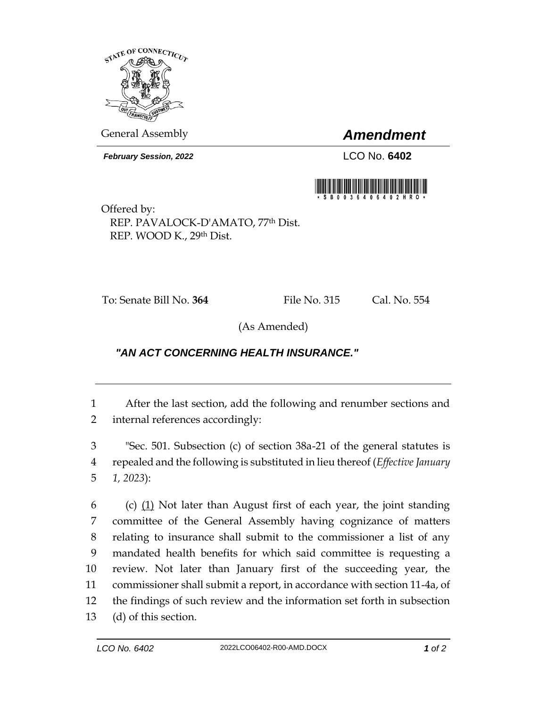

General Assembly *Amendment*

*February Session, 2022* LCO No. **6402**



Offered by: REP. PAVALOCK-D'AMATO, 77th Dist. REP. WOOD K., 29th Dist.

To: Senate Bill No. **364** File No. 315 Cal. No. 554

(As Amended)

## *"AN ACT CONCERNING HEALTH INSURANCE."*

1 After the last section, add the following and renumber sections and 2 internal references accordingly:

3 "Sec. 501. Subsection (c) of section 38a-21 of the general statutes is 4 repealed and the following is substituted in lieu thereof (*Effective January*  5 *1, 2023*):

 (c) (1) Not later than August first of each year, the joint standing committee of the General Assembly having cognizance of matters relating to insurance shall submit to the commissioner a list of any mandated health benefits for which said committee is requesting a review. Not later than January first of the succeeding year, the commissioner shall submit a report, in accordance with section 11-4a, of the findings of such review and the information set forth in subsection (d) of this section.